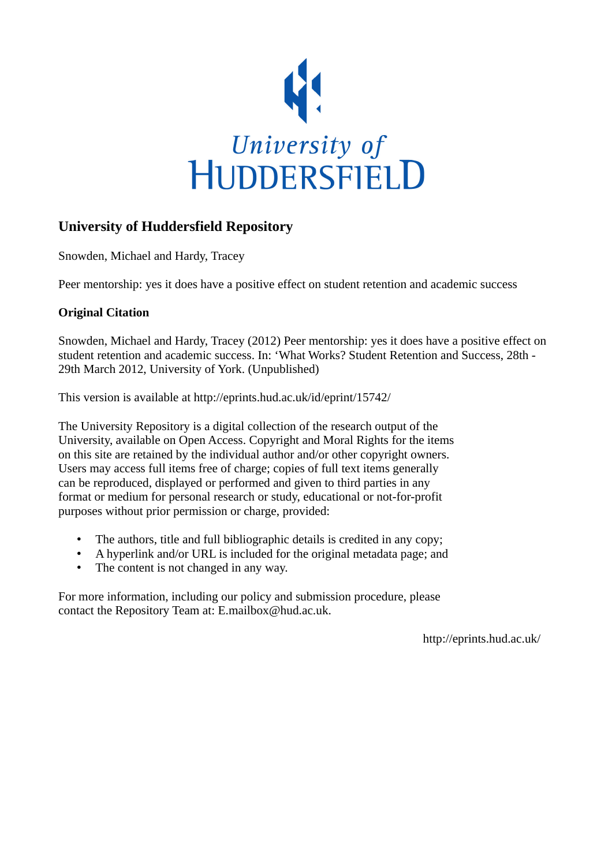

#### **University of Huddersfield Repository**

Snowden, Michael and Hardy, Tracey

Peer mentorship: yes it does have a positive effect on student retention and academic success

#### **Original Citation**

Snowden, Michael and Hardy, Tracey (2012) Peer mentorship: yes it does have a positive effect on student retention and academic success. In: 'What Works? Student Retention and Success, 28th - 29th March 2012, University of York. (Unpublished)

This version is available at http://eprints.hud.ac.uk/id/eprint/15742/

The University Repository is a digital collection of the research output of the University, available on Open Access. Copyright and Moral Rights for the items on this site are retained by the individual author and/or other copyright owners. Users may access full items free of charge; copies of full text items generally can be reproduced, displayed or performed and given to third parties in any format or medium for personal research or study, educational or not-for-profit purposes without prior permission or charge, provided:

- The authors, title and full bibliographic details is credited in any copy;
- A hyperlink and/or URL is included for the original metadata page; and
- The content is not changed in any way.

For more information, including our policy and submission procedure, please contact the Repository Team at: E.mailbox@hud.ac.uk.

http://eprints.hud.ac.uk/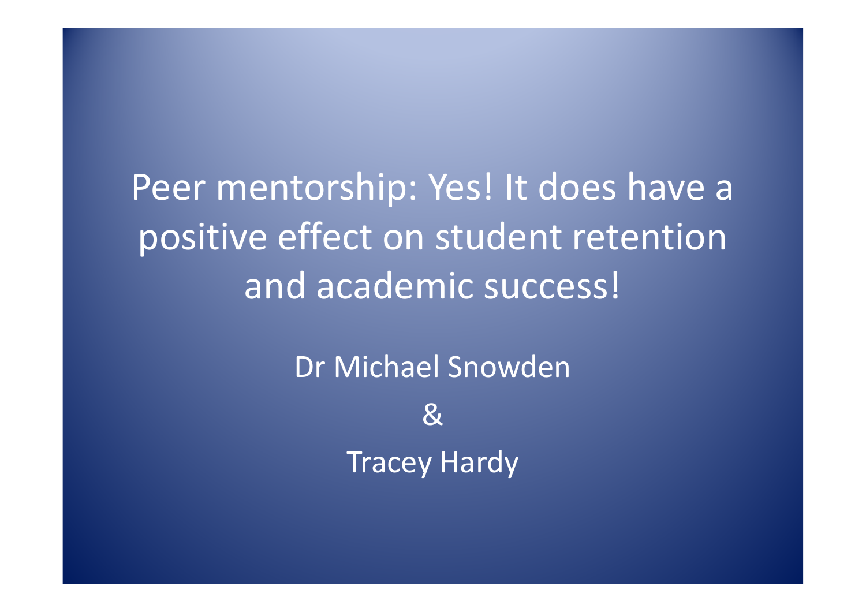Peer mentorship: Yes! It does have a positive effect on student retention and academic success!

> Dr Michael Snowden &Tracey Hardy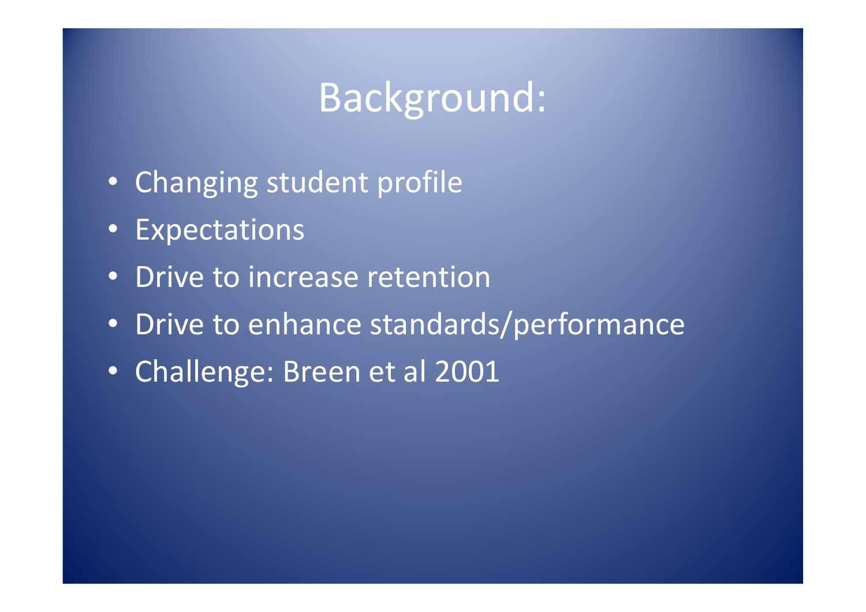## Background:

- Changing student profile
- Expectations
- Drive to increase retention
- Drive to enhance standards/performance
- Challenge: Breen et al 2001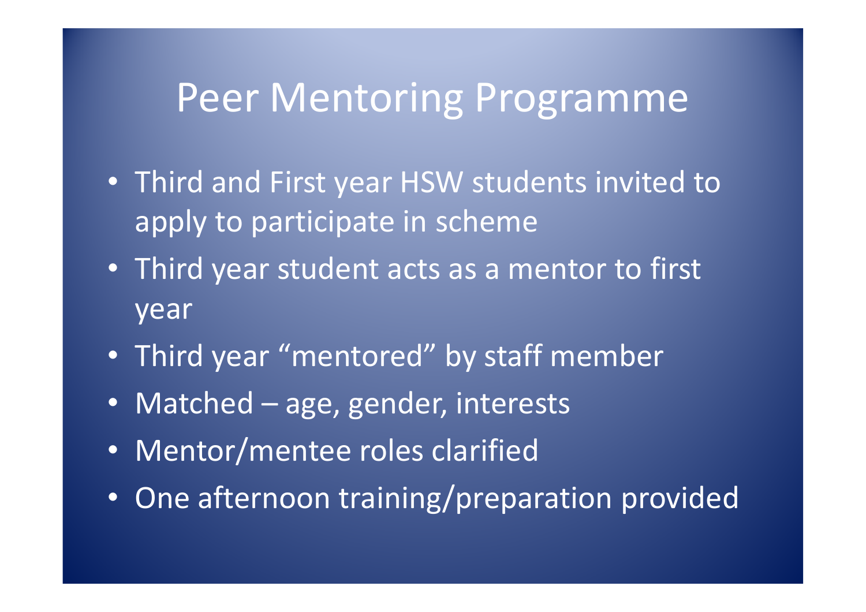## Peer Mentoring Programme

- Third and First year HSW students invited to apply to participate in scheme
- Third year student acts as a mentor to first year
- Third year "mentored" by staff member
- Matched age, gender, interests
- Mentor/mentee roles clarified
- One afternoon training/preparation provided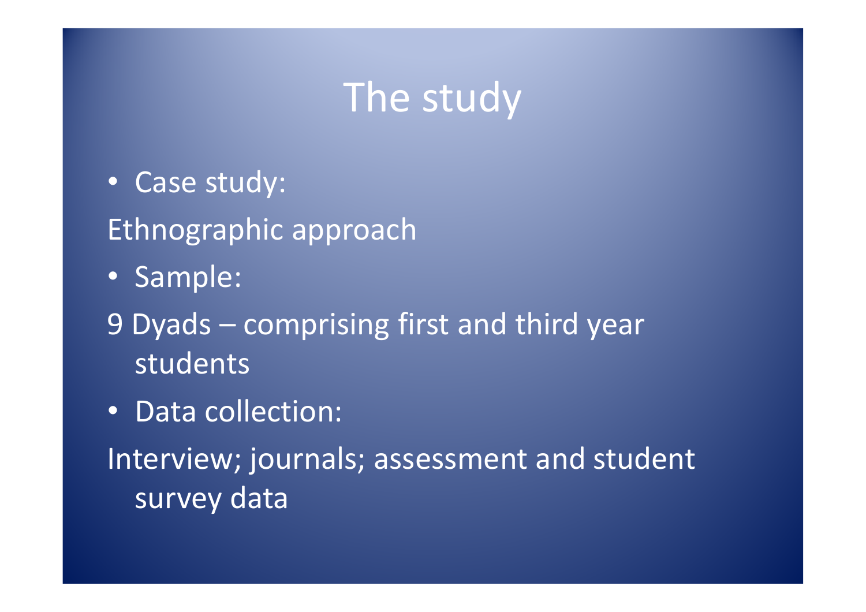## The study

- Case study: Ethnographic approach
- Sample:
- 9 Dyads comprising first and third year students
- Data collection:

Interview; journals; assessment and student survey data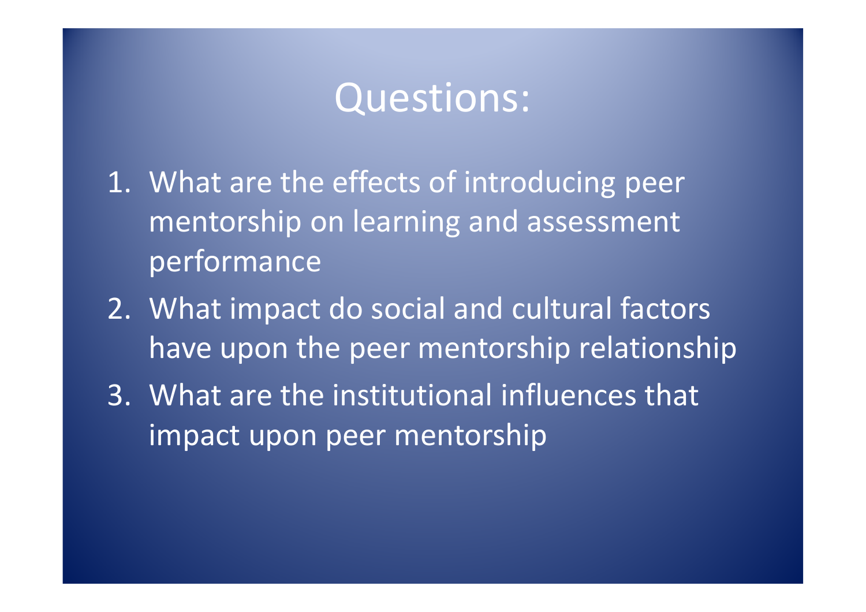## Questions:

- 1. What are the effects of introducing peer mentorship on learning and assessment performance
- 2. What impact do social and cultural factors have upon the peer mentorship relationship
- 3. What are the institutional influences that impact upon peer mentorship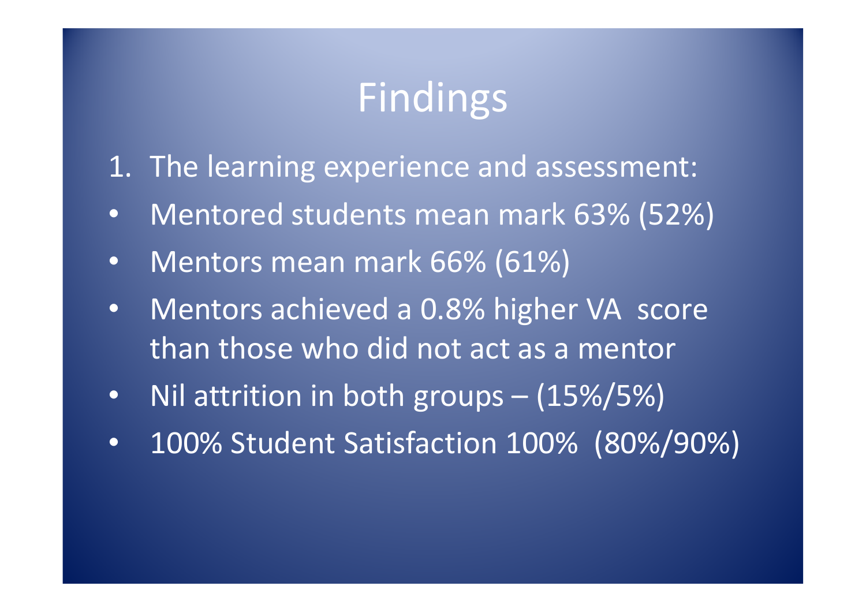## Findings

- 1. The learning experience and assessment:
- •Mentored students mean mark 63% (52%)
- $\bullet$ Mentors mean mark 66% (61%)
- • Mentors achieved a 0.8% higher VA score than those who did not act as a mentor
- $\bullet$ Nil attrition in both groups – (15%/5%)
- •100% Student Satisfaction 100% (80%/90%)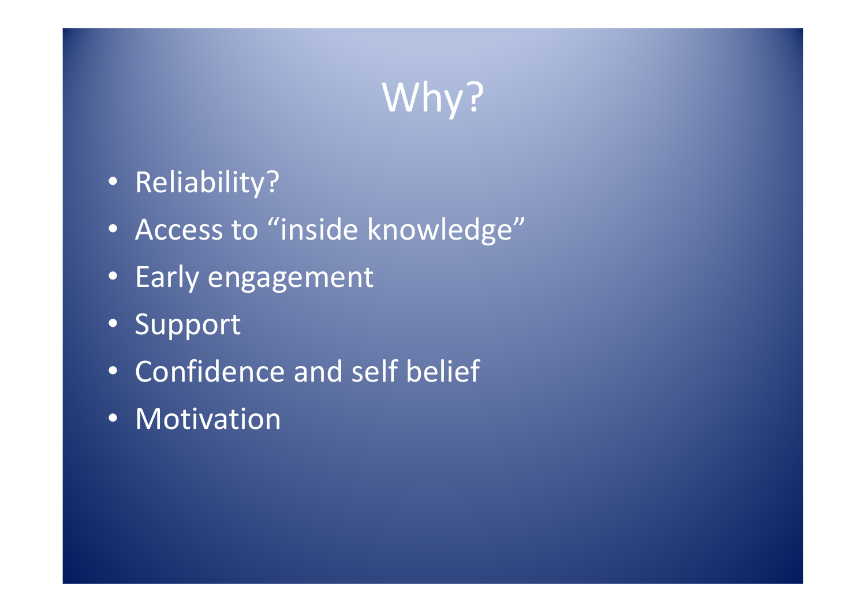# Why?

- Reliability?
- Access to "inside knowledge"
- Early engagement
- Support
- Confidence and self belief
- Motivation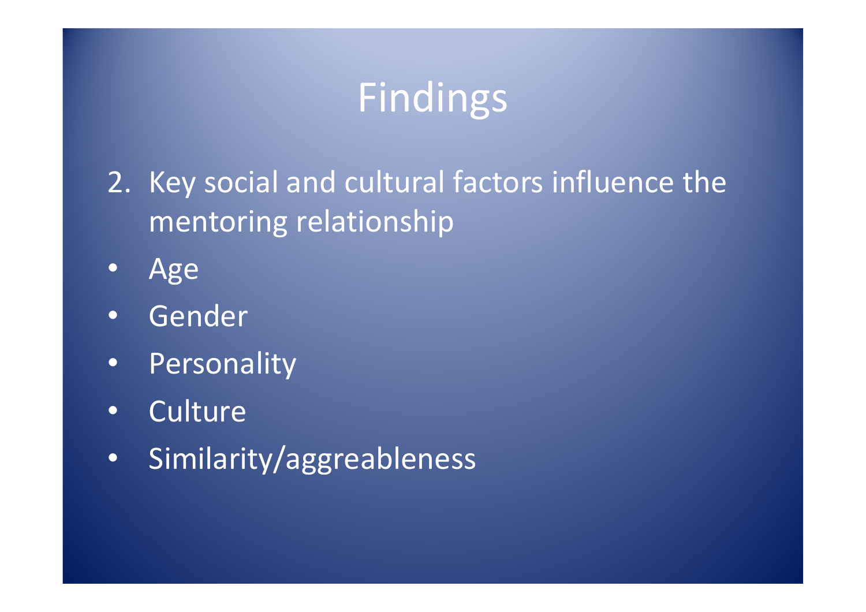# Findings

- 2. Key social and cultural factors influence the mentoring relationship
- •Age
- •Gender
- •Personality
- •**Culture**
- •Similarity/aggreableness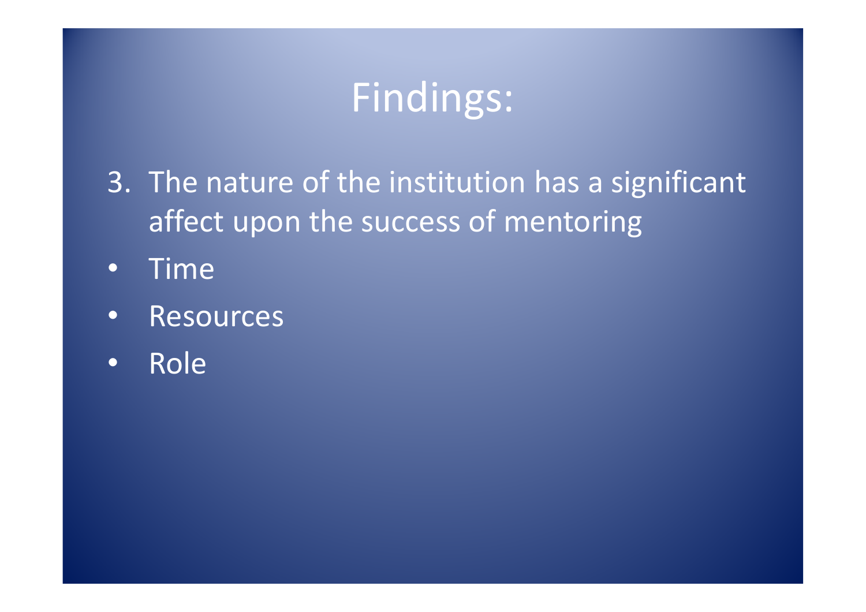# Findings:

- 3. The nature of the institution has a significant affect upon the success of mentoring
- •Time
- •Resources
- •Role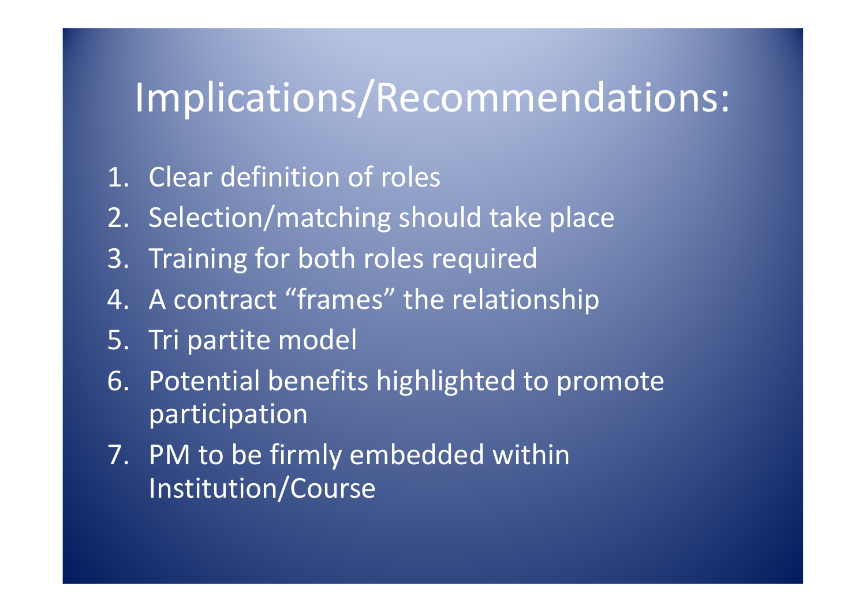# Implications/Recommendations:

- 1. Clear definition of roles
- 2. Selection/matching should take place
- 3. Training for both roles required
- 4. A contract "frames" the relationship
- 5. Tri partite model
- 6. Potential benefits highlighted to promote participation
- 7. PM to be firmly embedded within Institution/Course